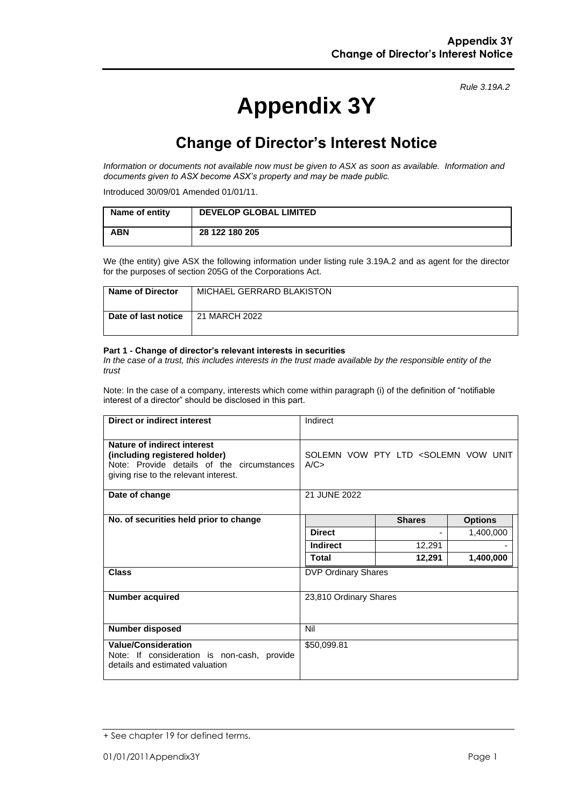#### *Rule 3.19A.2*

# **Appendix 3Y**

# **Change of Director's Interest Notice**

*Information or documents not available now must be given to ASX as soon as available. Information and documents given to ASX become ASX's property and may be made public.*

Introduced 30/09/01 Amended 01/01/11.

| Name of entity | <b>DEVELOP GLOBAL LIMITED</b> |
|----------------|-------------------------------|
| <b>ABN</b>     | 28 122 180 205                |

We (the entity) give ASX the following information under listing rule 3.19A.2 and as agent for the director for the purposes of section 205G of the Corporations Act.

| <b>Name of Director</b> | MICHAEL GERRARD BLAKISTON |
|-------------------------|---------------------------|
| Date of last notice     | 21 MARCH 2022             |

#### **Part 1 - Change of director's relevant interests in securities**

*In the case of a trust, this includes interests in the trust made available by the responsible entity of the trust*

Note: In the case of a company, interests which come within paragraph (i) of the definition of "notifiable interest of a director" should be disclosed in this part.

| <b>Direct or indirect interest</b>                                                                                                                  | Indirect                                                  |               |                |
|-----------------------------------------------------------------------------------------------------------------------------------------------------|-----------------------------------------------------------|---------------|----------------|
| Nature of indirect interest<br>(including registered holder)<br>Note: Provide details of the circumstances<br>giving rise to the relevant interest. | SOLEMN VOW PTY LTD <solemn unit<br="" vow="">A/C</solemn> |               |                |
| Date of change                                                                                                                                      | 21 JUNE 2022                                              |               |                |
| No. of securities held prior to change                                                                                                              |                                                           | <b>Shares</b> | <b>Options</b> |
|                                                                                                                                                     | <b>Direct</b>                                             |               | 1,400,000      |
|                                                                                                                                                     | <b>Indirect</b>                                           | 12,291        |                |
|                                                                                                                                                     | <b>Total</b>                                              | 12,291        | 1,400,000      |
| <b>Class</b>                                                                                                                                        | <b>DVP Ordinary Shares</b>                                |               |                |
| <b>Number acquired</b>                                                                                                                              | 23,810 Ordinary Shares                                    |               |                |
| Number disposed                                                                                                                                     | Nil                                                       |               |                |
| <b>Value/Consideration</b><br>Note: If consideration is non-cash, provide<br>details and estimated valuation                                        | \$50,099.81                                               |               |                |

<sup>+</sup> See chapter 19 for defined terms.